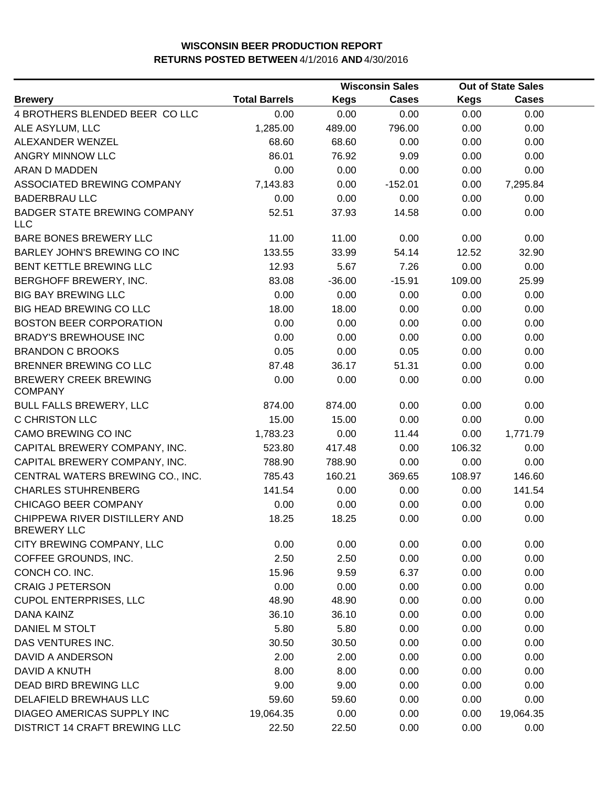|                                                     | <b>Wisconsin Sales</b> |             | <b>Out of State Sales</b> |             |              |  |
|-----------------------------------------------------|------------------------|-------------|---------------------------|-------------|--------------|--|
| <b>Brewery</b>                                      | <b>Total Barrels</b>   | <b>Kegs</b> | <b>Cases</b>              | <b>Kegs</b> | <b>Cases</b> |  |
| 4 BROTHERS BLENDED BEER COLLC                       | 0.00                   | 0.00        | 0.00                      | 0.00        | 0.00         |  |
| ALE ASYLUM, LLC                                     | 1,285.00               | 489.00      | 796.00                    | 0.00        | 0.00         |  |
| ALEXANDER WENZEL                                    | 68.60                  | 68.60       | 0.00                      | 0.00        | 0.00         |  |
| ANGRY MINNOW LLC                                    | 86.01                  | 76.92       | 9.09                      | 0.00        | 0.00         |  |
| ARAN D MADDEN                                       | 0.00                   | 0.00        | 0.00                      | 0.00        | 0.00         |  |
| ASSOCIATED BREWING COMPANY                          | 7,143.83               | 0.00        | $-152.01$                 | 0.00        | 7,295.84     |  |
| <b>BADERBRAU LLC</b>                                | 0.00                   | 0.00        | 0.00                      | 0.00        | 0.00         |  |
| <b>BADGER STATE BREWING COMPANY</b><br><b>LLC</b>   | 52.51                  | 37.93       | 14.58                     | 0.00        | 0.00         |  |
| BARE BONES BREWERY LLC                              | 11.00                  | 11.00       | 0.00                      | 0.00        | 0.00         |  |
| BARLEY JOHN'S BREWING CO INC                        | 133.55                 | 33.99       | 54.14                     | 12.52       | 32.90        |  |
| BENT KETTLE BREWING LLC                             | 12.93                  | 5.67        | 7.26                      | 0.00        | 0.00         |  |
| BERGHOFF BREWERY, INC.                              | 83.08                  | $-36.00$    | $-15.91$                  | 109.00      | 25.99        |  |
| <b>BIG BAY BREWING LLC</b>                          | 0.00                   | 0.00        | 0.00                      | 0.00        | 0.00         |  |
| <b>BIG HEAD BREWING CO LLC</b>                      | 18.00                  | 18.00       | 0.00                      | 0.00        | 0.00         |  |
| <b>BOSTON BEER CORPORATION</b>                      | 0.00                   | 0.00        | 0.00                      | 0.00        | 0.00         |  |
| <b>BRADY'S BREWHOUSE INC</b>                        | 0.00                   | 0.00        | 0.00                      | 0.00        | 0.00         |  |
| <b>BRANDON C BROOKS</b>                             | 0.05                   | 0.00        | 0.05                      | 0.00        | 0.00         |  |
| BRENNER BREWING CO LLC                              | 87.48                  | 36.17       | 51.31                     | 0.00        | 0.00         |  |
| <b>BREWERY CREEK BREWING</b><br><b>COMPANY</b>      | 0.00                   | 0.00        | 0.00                      | 0.00        | 0.00         |  |
| <b>BULL FALLS BREWERY, LLC</b>                      | 874.00                 | 874.00      | 0.00                      | 0.00        | 0.00         |  |
| C CHRISTON LLC                                      | 15.00                  | 15.00       | 0.00                      | 0.00        | 0.00         |  |
| CAMO BREWING CO INC                                 | 1,783.23               | 0.00        | 11.44                     | 0.00        | 1,771.79     |  |
| CAPITAL BREWERY COMPANY, INC.                       | 523.80                 | 417.48      | 0.00                      | 106.32      | 0.00         |  |
| CAPITAL BREWERY COMPANY, INC.                       | 788.90                 | 788.90      | 0.00                      | 0.00        | 0.00         |  |
| CENTRAL WATERS BREWING CO., INC.                    | 785.43                 | 160.21      | 369.65                    | 108.97      | 146.60       |  |
| <b>CHARLES STUHRENBERG</b>                          | 141.54                 | 0.00        | 0.00                      | 0.00        | 141.54       |  |
| CHICAGO BEER COMPANY                                | 0.00                   | 0.00        | 0.00                      | 0.00        | 0.00         |  |
| CHIPPEWA RIVER DISTILLERY AND<br><b>BREWERY LLC</b> | 18.25                  | 18.25       | 0.00                      | 0.00        | 0.00         |  |
| CITY BREWING COMPANY, LLC                           | 0.00                   | 0.00        | 0.00                      | 0.00        | 0.00         |  |
| COFFEE GROUNDS, INC.                                | 2.50                   | 2.50        | 0.00                      | 0.00        | 0.00         |  |
| CONCH CO. INC.                                      | 15.96                  | 9.59        | 6.37                      | 0.00        | 0.00         |  |
| <b>CRAIG J PETERSON</b>                             | 0.00                   | 0.00        | 0.00                      | 0.00        | 0.00         |  |
| <b>CUPOL ENTERPRISES, LLC</b>                       | 48.90                  | 48.90       | 0.00                      | 0.00        | 0.00         |  |
| <b>DANA KAINZ</b>                                   | 36.10                  | 36.10       | 0.00                      | 0.00        | 0.00         |  |
| DANIEL M STOLT                                      | 5.80                   | 5.80        | 0.00                      | 0.00        | 0.00         |  |
| DAS VENTURES INC.                                   | 30.50                  | 30.50       | 0.00                      | 0.00        | 0.00         |  |
| DAVID A ANDERSON                                    | 2.00                   | 2.00        | 0.00                      | 0.00        | 0.00         |  |
| DAVID A KNUTH                                       | 8.00                   | 8.00        | 0.00                      | 0.00        | 0.00         |  |
| DEAD BIRD BREWING LLC                               | 9.00                   | 9.00        | 0.00                      | 0.00        | 0.00         |  |
| DELAFIELD BREWHAUS LLC                              | 59.60                  | 59.60       | 0.00                      | 0.00        | 0.00         |  |
| DIAGEO AMERICAS SUPPLY INC                          | 19,064.35              | 0.00        | 0.00                      | 0.00        | 19,064.35    |  |
| DISTRICT 14 CRAFT BREWING LLC                       | 22.50                  | 22.50       | 0.00                      | 0.00        | 0.00         |  |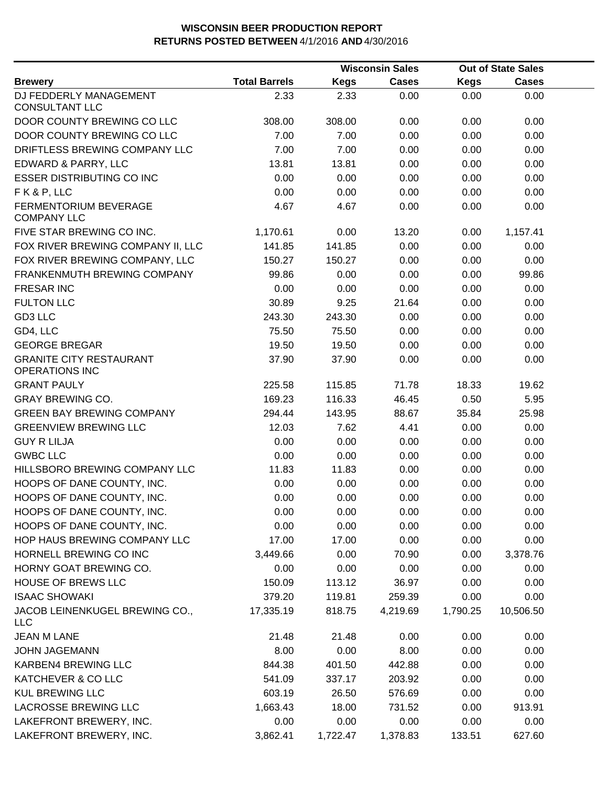|                                                         |                      |             | <b>Wisconsin Sales</b> |          | <b>Out of State Sales</b> |  |
|---------------------------------------------------------|----------------------|-------------|------------------------|----------|---------------------------|--|
| <b>Brewery</b>                                          | <b>Total Barrels</b> | <b>Kegs</b> | <b>Cases</b>           | Kegs     | <b>Cases</b>              |  |
| DJ FEDDERLY MANAGEMENT<br><b>CONSULTANT LLC</b>         | 2.33                 | 2.33        | 0.00                   | 0.00     | 0.00                      |  |
| DOOR COUNTY BREWING CO LLC                              | 308.00               | 308.00      | 0.00                   | 0.00     | 0.00                      |  |
| DOOR COUNTY BREWING CO LLC                              | 7.00                 | 7.00        | 0.00                   | 0.00     | 0.00                      |  |
| DRIFTLESS BREWING COMPANY LLC                           | 7.00                 | 7.00        | 0.00                   | 0.00     | 0.00                      |  |
| EDWARD & PARRY, LLC                                     | 13.81                | 13.81       | 0.00                   | 0.00     | 0.00                      |  |
| <b>ESSER DISTRIBUTING CO INC</b>                        | 0.00                 | 0.00        | 0.00                   | 0.00     | 0.00                      |  |
| FK&P, LLC                                               | 0.00                 | 0.00        | 0.00                   | 0.00     | 0.00                      |  |
| <b>FERMENTORIUM BEVERAGE</b><br><b>COMPANY LLC</b>      | 4.67                 | 4.67        | 0.00                   | 0.00     | 0.00                      |  |
| FIVE STAR BREWING CO INC.                               | 1,170.61             | 0.00        | 13.20                  | 0.00     | 1,157.41                  |  |
| FOX RIVER BREWING COMPANY II, LLC                       | 141.85               | 141.85      | 0.00                   | 0.00     | 0.00                      |  |
| FOX RIVER BREWING COMPANY, LLC                          | 150.27               | 150.27      | 0.00                   | 0.00     | 0.00                      |  |
| FRANKENMUTH BREWING COMPANY                             | 99.86                | 0.00        | 0.00                   | 0.00     | 99.86                     |  |
| <b>FRESAR INC</b>                                       | 0.00                 | 0.00        | 0.00                   | 0.00     | 0.00                      |  |
| <b>FULTON LLC</b>                                       | 30.89                | 9.25        | 21.64                  | 0.00     | 0.00                      |  |
| GD3 LLC                                                 | 243.30               | 243.30      | 0.00                   | 0.00     | 0.00                      |  |
| GD4, LLC                                                | 75.50                | 75.50       | 0.00                   | 0.00     | 0.00                      |  |
| <b>GEORGE BREGAR</b>                                    | 19.50                | 19.50       | 0.00                   | 0.00     | 0.00                      |  |
| <b>GRANITE CITY RESTAURANT</b><br><b>OPERATIONS INC</b> | 37.90                | 37.90       | 0.00                   | 0.00     | 0.00                      |  |
| <b>GRANT PAULY</b>                                      | 225.58               | 115.85      | 71.78                  | 18.33    | 19.62                     |  |
| <b>GRAY BREWING CO.</b>                                 | 169.23               | 116.33      | 46.45                  | 0.50     | 5.95                      |  |
| <b>GREEN BAY BREWING COMPANY</b>                        | 294.44               | 143.95      | 88.67                  | 35.84    | 25.98                     |  |
| <b>GREENVIEW BREWING LLC</b>                            | 12.03                | 7.62        | 4.41                   | 0.00     | 0.00                      |  |
| <b>GUY R LILJA</b>                                      | 0.00                 | 0.00        | 0.00                   | 0.00     | 0.00                      |  |
| <b>GWBC LLC</b>                                         | 0.00                 | 0.00        | 0.00                   | 0.00     | 0.00                      |  |
| HILLSBORO BREWING COMPANY LLC                           | 11.83                | 11.83       | 0.00                   | 0.00     | 0.00                      |  |
| HOOPS OF DANE COUNTY, INC.                              | 0.00                 | 0.00        | 0.00                   | 0.00     | 0.00                      |  |
| HOOPS OF DANE COUNTY, INC.                              | 0.00                 | 0.00        | 0.00                   | 0.00     | 0.00                      |  |
| HOOPS OF DANE COUNTY, INC.                              | 0.00                 | 0.00        | 0.00                   | 0.00     | 0.00                      |  |
| HOOPS OF DANE COUNTY, INC.                              | 0.00                 | 0.00        | 0.00                   | 0.00     | 0.00                      |  |
| HOP HAUS BREWING COMPANY LLC                            | 17.00                | 17.00       | 0.00                   | 0.00     | 0.00                      |  |
| HORNELL BREWING CO INC                                  | 3,449.66             | 0.00        | 70.90                  | 0.00     | 3,378.76                  |  |
| HORNY GOAT BREWING CO.                                  | 0.00                 | 0.00        | 0.00                   | 0.00     | 0.00                      |  |
| HOUSE OF BREWS LLC                                      | 150.09               | 113.12      | 36.97                  | 0.00     | 0.00                      |  |
| <b>ISAAC SHOWAKI</b>                                    | 379.20               | 119.81      | 259.39                 | 0.00     | 0.00                      |  |
| JACOB LEINENKUGEL BREWING CO.,<br><b>LLC</b>            | 17,335.19            | 818.75      | 4,219.69               | 1,790.25 | 10,506.50                 |  |
| <b>JEAN M LANE</b>                                      | 21.48                | 21.48       | 0.00                   | 0.00     | 0.00                      |  |
| <b>JOHN JAGEMANN</b>                                    | 8.00                 | 0.00        | 8.00                   | 0.00     | 0.00                      |  |
| KARBEN4 BREWING LLC                                     | 844.38               | 401.50      | 442.88                 | 0.00     | 0.00                      |  |
| KATCHEVER & CO LLC                                      | 541.09               | 337.17      | 203.92                 | 0.00     | 0.00                      |  |
| <b>KUL BREWING LLC</b>                                  | 603.19               | 26.50       | 576.69                 | 0.00     | 0.00                      |  |
| <b>LACROSSE BREWING LLC</b>                             | 1,663.43             | 18.00       | 731.52                 | 0.00     | 913.91                    |  |
| LAKEFRONT BREWERY, INC.                                 | 0.00                 | 0.00        | 0.00                   | 0.00     | 0.00                      |  |
| LAKEFRONT BREWERY, INC.                                 | 3,862.41             | 1,722.47    | 1,378.83               | 133.51   | 627.60                    |  |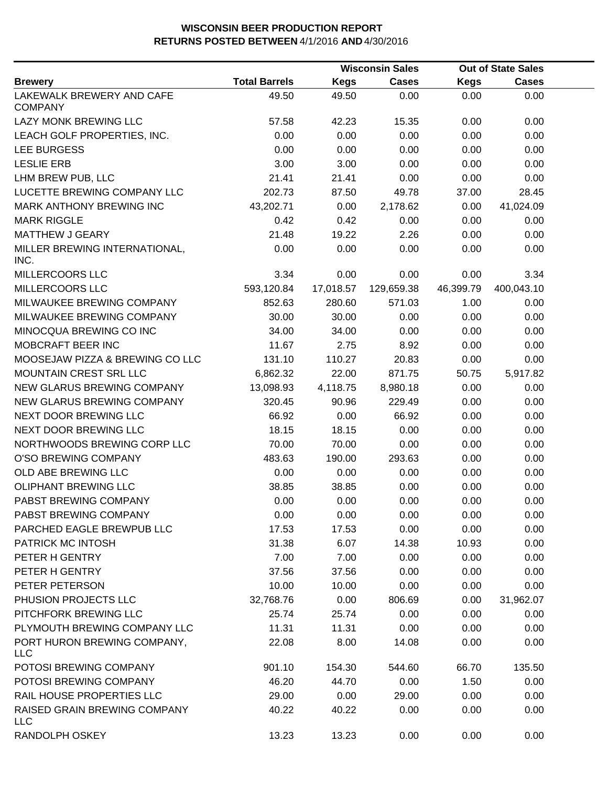|                                             |                      |             | <b>Wisconsin Sales</b> |             | <b>Out of State Sales</b> |  |
|---------------------------------------------|----------------------|-------------|------------------------|-------------|---------------------------|--|
| <b>Brewery</b>                              | <b>Total Barrels</b> | <b>Kegs</b> | <b>Cases</b>           | <b>Kegs</b> | <b>Cases</b>              |  |
| LAKEWALK BREWERY AND CAFE<br><b>COMPANY</b> | 49.50                | 49.50       | 0.00                   | 0.00        | 0.00                      |  |
| LAZY MONK BREWING LLC                       | 57.58                | 42.23       | 15.35                  | 0.00        | 0.00                      |  |
| LEACH GOLF PROPERTIES, INC.                 | 0.00                 | 0.00        | 0.00                   | 0.00        | 0.00                      |  |
| LEE BURGESS                                 | 0.00                 | 0.00        | 0.00                   | 0.00        | 0.00                      |  |
| <b>LESLIE ERB</b>                           | 3.00                 | 3.00        | 0.00                   | 0.00        | 0.00                      |  |
| LHM BREW PUB, LLC                           | 21.41                | 21.41       | 0.00                   | 0.00        | 0.00                      |  |
| LUCETTE BREWING COMPANY LLC                 | 202.73               | 87.50       | 49.78                  | 37.00       | 28.45                     |  |
| MARK ANTHONY BREWING INC                    | 43,202.71            | 0.00        | 2,178.62               | 0.00        | 41,024.09                 |  |
| <b>MARK RIGGLE</b>                          | 0.42                 | 0.42        | 0.00                   | 0.00        | 0.00                      |  |
| <b>MATTHEW J GEARY</b>                      | 21.48                | 19.22       | 2.26                   | 0.00        | 0.00                      |  |
| MILLER BREWING INTERNATIONAL,<br>INC.       | 0.00                 | 0.00        | 0.00                   | 0.00        | 0.00                      |  |
| MILLERCOORS LLC                             | 3.34                 | 0.00        | 0.00                   | 0.00        | 3.34                      |  |
| MILLERCOORS LLC                             | 593,120.84           | 17,018.57   | 129,659.38             | 46,399.79   | 400,043.10                |  |
| MILWAUKEE BREWING COMPANY                   | 852.63               | 280.60      | 571.03                 | 1.00        | 0.00                      |  |
| MILWAUKEE BREWING COMPANY                   | 30.00                | 30.00       | 0.00                   | 0.00        | 0.00                      |  |
| MINOCQUA BREWING CO INC                     | 34.00                | 34.00       | 0.00                   | 0.00        | 0.00                      |  |
| MOBCRAFT BEER INC                           | 11.67                | 2.75        | 8.92                   | 0.00        | 0.00                      |  |
| MOOSEJAW PIZZA & BREWING CO LLC             | 131.10               | 110.27      | 20.83                  | 0.00        | 0.00                      |  |
| MOUNTAIN CREST SRL LLC                      | 6,862.32             | 22.00       | 871.75                 | 50.75       | 5,917.82                  |  |
| NEW GLARUS BREWING COMPANY                  | 13,098.93            | 4,118.75    | 8,980.18               | 0.00        | 0.00                      |  |
| NEW GLARUS BREWING COMPANY                  | 320.45               | 90.96       | 229.49                 | 0.00        | 0.00                      |  |
| NEXT DOOR BREWING LLC                       | 66.92                | 0.00        | 66.92                  | 0.00        | 0.00                      |  |
| NEXT DOOR BREWING LLC                       | 18.15                | 18.15       | 0.00                   | 0.00        | 0.00                      |  |
| NORTHWOODS BREWING CORP LLC                 | 70.00                | 70.00       | 0.00                   | 0.00        | 0.00                      |  |
| O'SO BREWING COMPANY                        | 483.63               | 190.00      | 293.63                 | 0.00        | 0.00                      |  |
| OLD ABE BREWING LLC                         | 0.00                 | 0.00        | 0.00                   | 0.00        | 0.00                      |  |
| <b>OLIPHANT BREWING LLC</b>                 | 38.85                | 38.85       | 0.00                   | 0.00        | 0.00                      |  |
| PABST BREWING COMPANY                       | 0.00                 | 0.00        | 0.00                   | 0.00        | 0.00                      |  |
| PABST BREWING COMPANY                       | 0.00                 | 0.00        | 0.00                   | 0.00        | 0.00                      |  |
| PARCHED EAGLE BREWPUB LLC                   | 17.53                | 17.53       | 0.00                   | 0.00        | 0.00                      |  |
| PATRICK MC INTOSH                           | 31.38                | 6.07        | 14.38                  | 10.93       | 0.00                      |  |
| PETER H GENTRY                              | 7.00                 | 7.00        | 0.00                   | 0.00        | 0.00                      |  |
| PETER H GENTRY                              | 37.56                | 37.56       | 0.00                   | 0.00        | 0.00                      |  |
| PETER PETERSON                              | 10.00                | 10.00       | 0.00                   | 0.00        | 0.00                      |  |
| PHUSION PROJECTS LLC                        | 32,768.76            | 0.00        | 806.69                 | 0.00        | 31,962.07                 |  |
| PITCHFORK BREWING LLC                       | 25.74                | 25.74       | 0.00                   | 0.00        | 0.00                      |  |
| PLYMOUTH BREWING COMPANY LLC                | 11.31                | 11.31       | 0.00                   | 0.00        | 0.00                      |  |
| PORT HURON BREWING COMPANY,<br><b>LLC</b>   | 22.08                | 8.00        | 14.08                  | 0.00        | 0.00                      |  |
| POTOSI BREWING COMPANY                      | 901.10               | 154.30      | 544.60                 | 66.70       | 135.50                    |  |
| POTOSI BREWING COMPANY                      | 46.20                | 44.70       | 0.00                   | 1.50        | 0.00                      |  |
| RAIL HOUSE PROPERTIES LLC                   | 29.00                | 0.00        | 29.00                  | 0.00        | 0.00                      |  |
| RAISED GRAIN BREWING COMPANY<br><b>LLC</b>  | 40.22                | 40.22       | 0.00                   | 0.00        | 0.00                      |  |
| RANDOLPH OSKEY                              | 13.23                | 13.23       | 0.00                   | 0.00        | 0.00                      |  |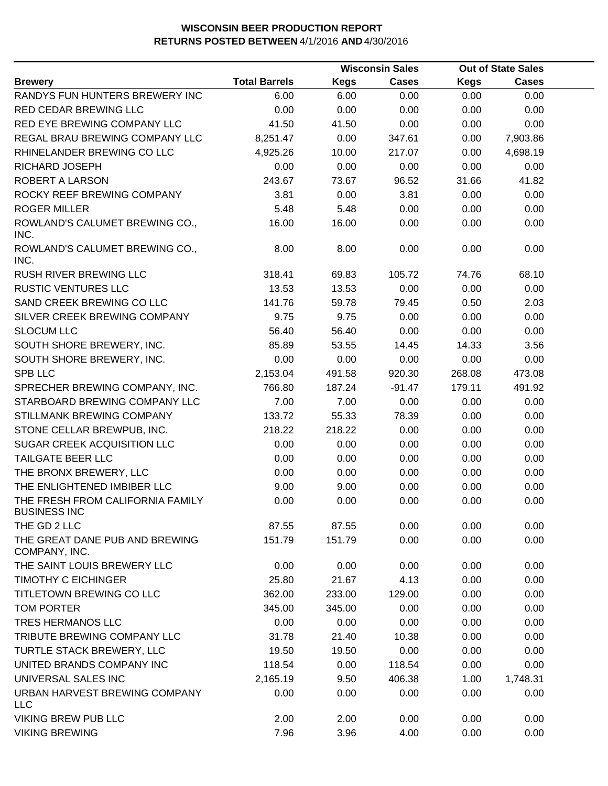|                                                         |                      |             | <b>Wisconsin Sales</b> |             | <b>Out of State Sales</b> |  |
|---------------------------------------------------------|----------------------|-------------|------------------------|-------------|---------------------------|--|
| <b>Brewery</b>                                          | <b>Total Barrels</b> | <b>Kegs</b> | <b>Cases</b>           | <b>Kegs</b> | <b>Cases</b>              |  |
| RANDYS FUN HUNTERS BREWERY INC                          | 6.00                 | 6.00        | 0.00                   | 0.00        | 0.00                      |  |
| RED CEDAR BREWING LLC                                   | 0.00                 | 0.00        | 0.00                   | 0.00        | 0.00                      |  |
| RED EYE BREWING COMPANY LLC                             | 41.50                | 41.50       | 0.00                   | 0.00        | 0.00                      |  |
| REGAL BRAU BREWING COMPANY LLC                          | 8,251.47             | 0.00        | 347.61                 | 0.00        | 7,903.86                  |  |
| RHINELANDER BREWING CO LLC                              | 4,925.26             | 10.00       | 217.07                 | 0.00        | 4,698.19                  |  |
| RICHARD JOSEPH                                          | 0.00                 | 0.00        | 0.00                   | 0.00        | 0.00                      |  |
| ROBERT A LARSON                                         | 243.67               | 73.67       | 96.52                  | 31.66       | 41.82                     |  |
| ROCKY REEF BREWING COMPANY                              | 3.81                 | 0.00        | 3.81                   | 0.00        | 0.00                      |  |
| <b>ROGER MILLER</b>                                     | 5.48                 | 5.48        | 0.00                   | 0.00        | 0.00                      |  |
| ROWLAND'S CALUMET BREWING CO.,<br>INC.                  | 16.00                | 16.00       | 0.00                   | 0.00        | 0.00                      |  |
| ROWLAND'S CALUMET BREWING CO.,<br>INC.                  | 8.00                 | 8.00        | 0.00                   | 0.00        | 0.00                      |  |
| <b>RUSH RIVER BREWING LLC</b>                           | 318.41               | 69.83       | 105.72                 | 74.76       | 68.10                     |  |
| <b>RUSTIC VENTURES LLC</b>                              | 13.53                | 13.53       | 0.00                   | 0.00        | 0.00                      |  |
| SAND CREEK BREWING CO LLC                               | 141.76               | 59.78       | 79.45                  | 0.50        | 2.03                      |  |
| SILVER CREEK BREWING COMPANY                            | 9.75                 | 9.75        | 0.00                   | 0.00        | 0.00                      |  |
| <b>SLOCUM LLC</b>                                       | 56.40                | 56.40       | 0.00                   | 0.00        | 0.00                      |  |
| SOUTH SHORE BREWERY, INC.                               | 85.89                | 53.55       | 14.45                  | 14.33       | 3.56                      |  |
| SOUTH SHORE BREWERY, INC.                               | 0.00                 | 0.00        | 0.00                   | 0.00        | 0.00                      |  |
| <b>SPB LLC</b>                                          | 2,153.04             | 491.58      | 920.30                 | 268.08      | 473.08                    |  |
| SPRECHER BREWING COMPANY, INC.                          | 766.80               | 187.24      | $-91.47$               | 179.11      | 491.92                    |  |
| STARBOARD BREWING COMPANY LLC                           | 7.00                 | 7.00        | 0.00                   | 0.00        | 0.00                      |  |
| STILLMANK BREWING COMPANY                               | 133.72               | 55.33       | 78.39                  | 0.00        | 0.00                      |  |
| STONE CELLAR BREWPUB, INC.                              | 218.22               | 218.22      | 0.00                   | 0.00        | 0.00                      |  |
| SUGAR CREEK ACQUISITION LLC                             | 0.00                 | 0.00        | 0.00                   | 0.00        | 0.00                      |  |
| TAILGATE BEER LLC                                       | 0.00                 | 0.00        | 0.00                   | 0.00        | 0.00                      |  |
| THE BRONX BREWERY, LLC                                  | 0.00                 | 0.00        | 0.00                   | 0.00        | 0.00                      |  |
| THE ENLIGHTENED IMBIBER LLC                             | 9.00                 | 9.00        | 0.00                   | 0.00        | 0.00                      |  |
| THE FRESH FROM CALIFORNIA FAMILY<br><b>BUSINESS INC</b> | 0.00                 | 0.00        | 0.00                   | 0.00        | 0.00                      |  |
| THE GD 2 LLC                                            | 87.55                | 87.55       | 0.00                   | 0.00        | 0.00                      |  |
| THE GREAT DANE PUB AND BREWING<br>COMPANY, INC.         | 151.79               | 151.79      | 0.00                   | 0.00        | 0.00                      |  |
| THE SAINT LOUIS BREWERY LLC                             | 0.00                 | 0.00        | 0.00                   | 0.00        | 0.00                      |  |
| <b>TIMOTHY C EICHINGER</b>                              | 25.80                | 21.67       | 4.13                   | 0.00        | 0.00                      |  |
| TITLETOWN BREWING CO LLC                                | 362.00               | 233.00      | 129.00                 | 0.00        | 0.00                      |  |
| <b>TOM PORTER</b>                                       | 345.00               | 345.00      | 0.00                   | 0.00        | 0.00                      |  |
| <b>TRES HERMANOS LLC</b>                                | 0.00                 | 0.00        | 0.00                   | 0.00        | 0.00                      |  |
| TRIBUTE BREWING COMPANY LLC                             | 31.78                | 21.40       | 10.38                  | 0.00        | 0.00                      |  |
| TURTLE STACK BREWERY, LLC                               | 19.50                | 19.50       | 0.00                   | 0.00        | 0.00                      |  |
| UNITED BRANDS COMPANY INC                               | 118.54               | 0.00        | 118.54                 | 0.00        | 0.00                      |  |
| UNIVERSAL SALES INC                                     | 2,165.19             | 9.50        | 406.38                 | 1.00        | 1,748.31                  |  |
| URBAN HARVEST BREWING COMPANY<br><b>LLC</b>             | 0.00                 | 0.00        | 0.00                   | 0.00        | 0.00                      |  |
| <b>VIKING BREW PUB LLC</b>                              | 2.00                 | 2.00        | 0.00                   | 0.00        | 0.00                      |  |
| <b>VIKING BREWING</b>                                   | 7.96                 | 3.96        | 4.00                   | 0.00        | 0.00                      |  |